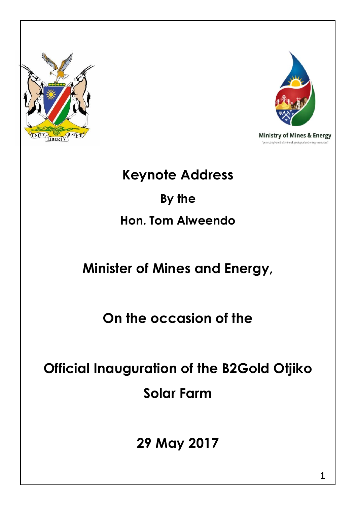



## **Keynote Address**

# **By the Hon. Tom Alweendo**

# **Minister of Mines and Energy,**

**On the occasion of the**

**Official Inauguration of the B2Gold Otjiko Solar Farm**

**29 May 2017**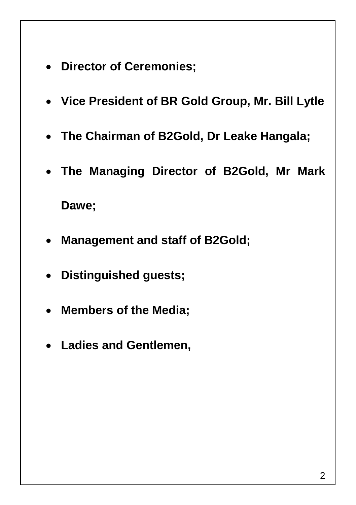- **Director of Ceremonies;**
- **Vice President of BR Gold Group, Mr. Bill Lytle**
- **The Chairman of B2Gold, Dr Leake Hangala;**
- **The Managing Director of B2Gold, Mr Mark**

**Dawe;**

- **Management and staff of B2Gold;**
- **Distinguished guests;**
- **Members of the Media;**
- **Ladies and Gentlemen,**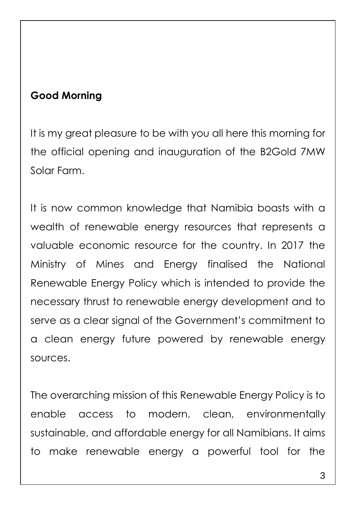#### **Good Morning**

It is my great pleasure to be with you all here this morning for the official opening and inauguration of the B2Gold 7MW Solar Farm.

It is now common knowledge that Namibia boasts with a wealth of renewable energy resources that represents a valuable economic resource for the country. In 2017 the Ministry of Mines and Energy finalised the National Renewable Energy Policy which is intended to provide the necessary thrust to renewable energy development and to serve as a clear signal of the Government's commitment to a clean energy future powered by renewable energy sources.

The overarching mission of this Renewable Energy Policy is to enable access to modern, clean, environmentally sustainable, and affordable energy for all Namibians. It aims to make renewable energy a powerful tool for the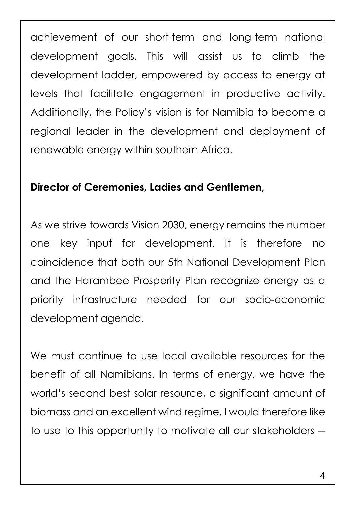achievement of our short-term and long-term national development goals. This will assist us to climb the development ladder, empowered by access to energy at levels that facilitate engagement in productive activity. Additionally, the Policy's vision is for Namibia to become a regional leader in the development and deployment of renewable energy within southern Africa.

#### **Director of Ceremonies, Ladies and Gentlemen,**

As we strive towards Vision 2030, energy remains the number one key input for development. It is therefore no coincidence that both our 5th National Development Plan and the Harambee Prosperity Plan recognize energy as a priority infrastructure needed for our socio-economic development agenda.

We must continue to use local available resources for the benefit of all Namibians. In terms of energy, we have the world's second best solar resource, a significant amount of biomass and an excellent wind regime. I would therefore like to use to this opportunity to motivate all our stakeholders ―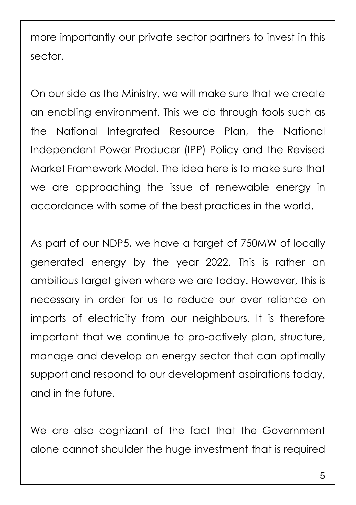more importantly our private sector partners to invest in this sector.

On our side as the Ministry, we will make sure that we create an enabling environment. This we do through tools such as the National Integrated Resource Plan, the National Independent Power Producer (IPP) Policy and the Revised Market Framework Model. The idea here is to make sure that we are approaching the issue of renewable energy in accordance with some of the best practices in the world.

As part of our NDP5, we have a target of 750MW of locally generated energy by the year 2022. This is rather an ambitious target given where we are today. However, this is necessary in order for us to reduce our over reliance on imports of electricity from our neighbours. It is therefore important that we continue to pro-actively plan, structure, manage and develop an energy sector that can optimally support and respond to our development aspirations today, and in the future.

We are also cognizant of the fact that the Government alone cannot shoulder the huge investment that is required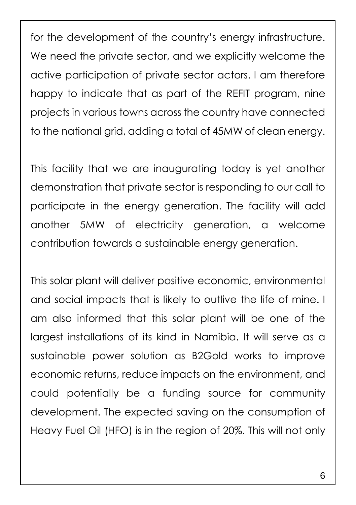for the development of the country's energy infrastructure. We need the private sector, and we explicitly welcome the active participation of private sector actors. I am therefore happy to indicate that as part of the REFIT program, nine projects in various towns across the country have connected to the national grid, adding a total of 45MW of clean energy.

This facility that we are inaugurating today is yet another demonstration that private sector is responding to our call to participate in the energy generation. The facility will add another 5MW of electricity generation, a welcome contribution towards a sustainable energy generation.

This solar plant will deliver positive economic, environmental and social impacts that is likely to outlive the life of mine. I am also informed that this solar plant will be one of the largest installations of its kind in Namibia. It will serve as a sustainable power solution as B2Gold works to improve economic returns, reduce impacts on the environment, and could potentially be a funding source for community development. The expected saving on the consumption of Heavy Fuel Oil (HFO) is in the region of 20%. This will not only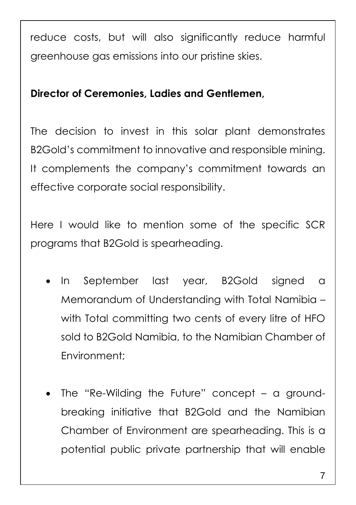reduce costs, but will also significantly reduce harmful greenhouse gas emissions into our pristine skies.

#### **Director of Ceremonies, Ladies and Gentlemen,**

The decision to invest in this solar plant demonstrates B2Gold's commitment to innovative and responsible mining. It complements the company's commitment towards an effective corporate social responsibility.

Here I would like to mention some of the specific SCR programs that B2Gold is spearheading.

- In September last year, B2Gold signed a Memorandum of Understanding with Total Namibia – with Total committing two cents of every litre of HFO sold to B2Gold Namibia, to the Namibian Chamber of Environment;
- The "Re-Wilding the Future" concept a groundbreaking initiative that B2Gold and the Namibian Chamber of Environment are spearheading. This is a potential public private partnership that will enable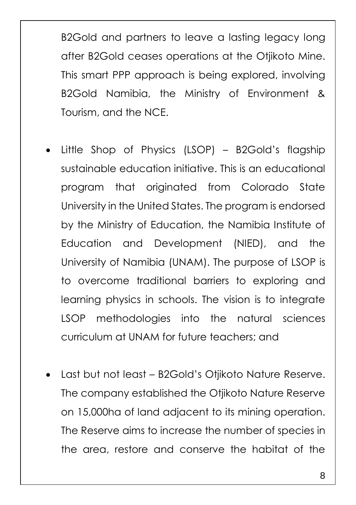B2Gold and partners to leave a lasting legacy long after B2Gold ceases operations at the Otjikoto Mine. This smart PPP approach is being explored, involving B2Gold Namibia, the Ministry of Environment & Tourism, and the NCE.

- Little Shop of Physics (LSOP) B2Gold's flagship sustainable education initiative. This is an educational program that originated from Colorado State University in the United States. The program is endorsed by the Ministry of Education, the Namibia Institute of Education and Development (NIED), and the University of Namibia (UNAM). The purpose of LSOP is to overcome traditional barriers to exploring and learning physics in schools. The vision is to integrate LSOP methodologies into the natural sciences curriculum at UNAM for future teachers; and
- Last but not least B2Gold's Otjikoto Nature Reserve. The company established the Otjikoto Nature Reserve on 15,000ha of land adjacent to its mining operation. The Reserve aims to increase the number of species in the area, restore and conserve the habitat of the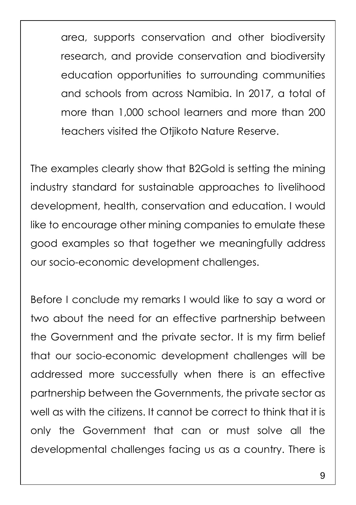area, supports conservation and other biodiversity research, and provide conservation and biodiversity education opportunities to surrounding communities and schools from across Namibia. In 2017, a total of more than 1,000 school learners and more than 200 teachers visited the Otjikoto Nature Reserve.

The examples clearly show that B2Gold is setting the mining industry standard for sustainable approaches to livelihood development, health, conservation and education. I would like to encourage other mining companies to emulate these good examples so that together we meaningfully address our socio-economic development challenges.

Before I conclude my remarks I would like to say a word or two about the need for an effective partnership between the Government and the private sector. It is my firm belief that our socio-economic development challenges will be addressed more successfully when there is an effective partnership between the Governments, the private sector as well as with the citizens. It cannot be correct to think that it is only the Government that can or must solve all the developmental challenges facing us as a country. There is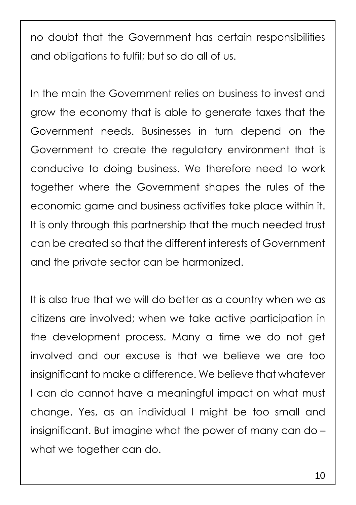no doubt that the Government has certain responsibilities and obligations to fulfil; but so do all of us.

In the main the Government relies on business to invest and grow the economy that is able to generate taxes that the Government needs. Businesses in turn depend on the Government to create the regulatory environment that is conducive to doing business. We therefore need to work together where the Government shapes the rules of the economic game and business activities take place within it. It is only through this partnership that the much needed trust can be created so that the different interests of Government and the private sector can be harmonized.

It is also true that we will do better as a country when we as citizens are involved; when we take active participation in the development process. Many a time we do not get involved and our excuse is that we believe we are too insignificant to make a difference. We believe that whatever I can do cannot have a meaningful impact on what must change. Yes, as an individual I might be too small and insignificant. But imagine what the power of many can do – what we together can do.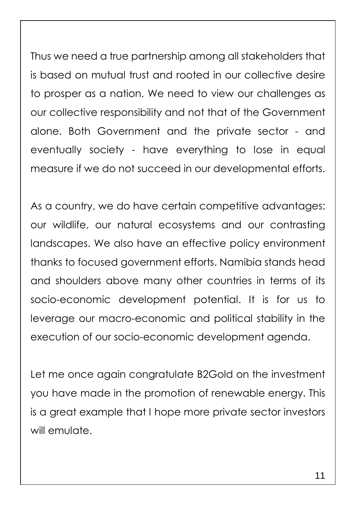Thus we need a true partnership among all stakeholders that is based on mutual trust and rooted in our collective desire to prosper as a nation. We need to view our challenges as our collective responsibility and not that of the Government alone. Both Government and the private sector - and eventually society - have everything to lose in equal measure if we do not succeed in our developmental efforts.

As a country, we do have certain competitive advantages: our wildlife, our natural ecosystems and our contrasting landscapes. We also have an effective policy environment thanks to focused government efforts. Namibia stands head and shoulders above many other countries in terms of its socio-economic development potential. It is for us to leverage our macro-economic and political stability in the execution of our socio-economic development agenda.

Let me once again congratulate B2Gold on the investment you have made in the promotion of renewable energy. This is a great example that I hope more private sector investors will emulate.